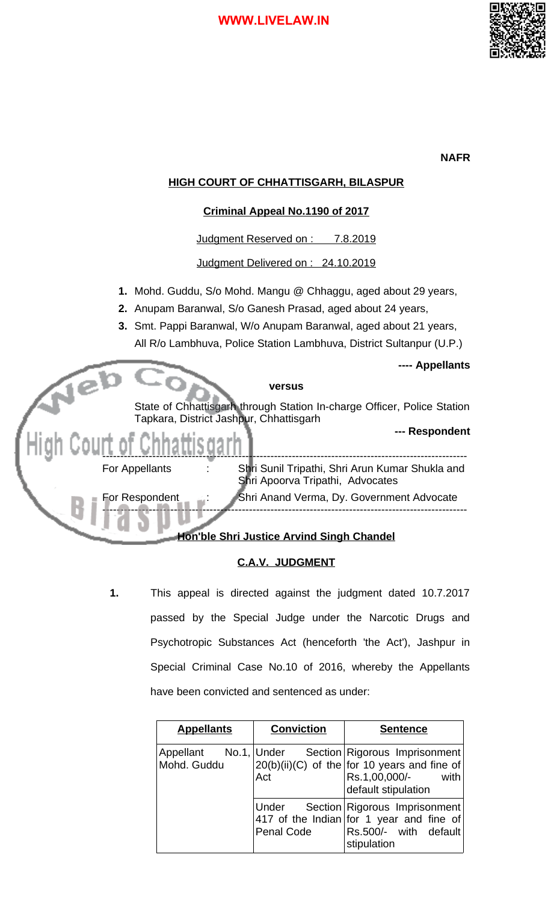

## **NAFR**

# **HIGH COURT OF CHHATTISGARH, BILASPUR**

## **Criminal Appeal No.1190 of 2017**

Judgment Reserved on : 7.8.2019

Judgment Delivered on : 24.10.2019

- **1.** Mohd. Guddu, S/o Mohd. Mangu @ Chhaggu, aged about 29 years,
- **2.** Anupam Baranwal, S/o Ganesh Prasad, aged about 24 years,
- **3.** Smt. Pappi Baranwal, W/o Anupam Baranwal, aged about 21 years, All R/o Lambhuva, Police Station Lambhuva, District Sultanpur (U.P.)

**---- Appellants**



## **C.A.V. JUDGMENT**

**1.** This appeal is directed against the judgment dated 10.7.2017 passed by the Special Judge under the Narcotic Drugs and Psychotropic Substances Act (henceforth 'the Act'), Jashpur in Special Criminal Case No.10 of 2016, whereby the Appellants have been convicted and sentenced as under:

| <b>Appellants</b>                    | <b>Conviction</b>   | <b>Sentence</b>                                                                                                                 |  |
|--------------------------------------|---------------------|---------------------------------------------------------------------------------------------------------------------------------|--|
| Appellant No.1, Under<br>Mohd. Guddu | Act                 | Section Rigorous Imprisonment<br>$20(b)(ii)(C)$ of the for 10 years and fine of<br>Rs.1,00,000/-<br>with<br>default stipulation |  |
|                                      | Under<br>Penal Code | Section Rigorous Imprisonment<br>417 of the Indian for 1 year and fine of<br>Rs.500/- with default<br>stipulation               |  |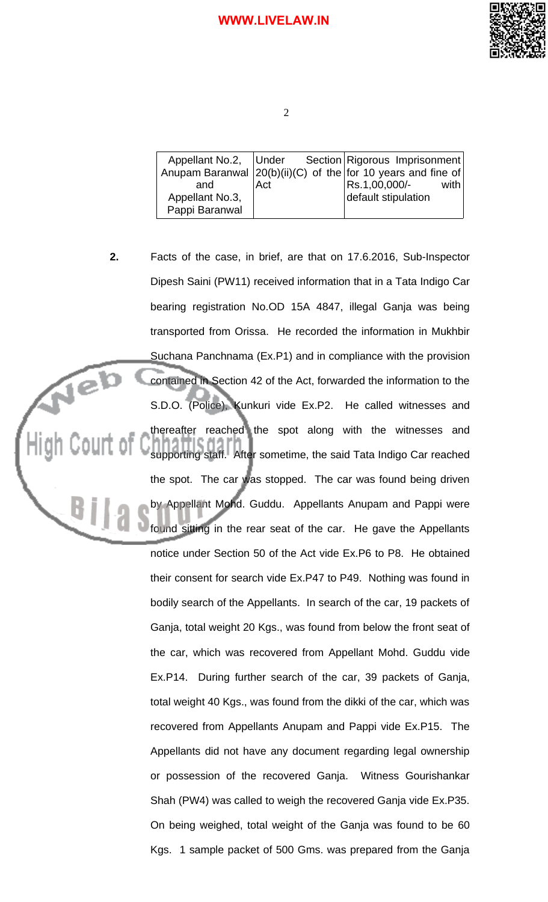

| Anupam Baranwal $ 20(b)(ii)(C)$ of the for 10 years and fine of |                  | Appellant No.2, Under Section Rigorous Imprisonment |        |
|-----------------------------------------------------------------|------------------|-----------------------------------------------------|--------|
| and<br>Appellant No.3,                                          | Act <sup>1</sup> | Rs.1,00,000/-<br>default stipulation                | with l |
| Pappi Baranwal                                                  |                  |                                                     |        |

**2.** Facts of the case, in brief, are that on 17.6.2016, Sub-Inspector Dipesh Saini (PW11) received information that in a Tata Indigo Car bearing registration No.OD 15A 4847, illegal Ganja was being transported from Orissa. He recorded the information in Mukhbir Suchana Panchnama (Ex.P1) and in compliance with the provision Neb contained in Section 42 of the Act, forwarded the information to the S.D.O. (Police), Kunkuri vide Ex.P2. He called witnesses and thereafter reached the spot along with the witnesses and supporting staff. After sometime, the said Tata Indigo Car reached the spot. The car was stopped. The car was found being driven 81 by Appellant Mohd. Guddu. Appellants Anupam and Pappi were found sitting in the rear seat of the car. He gave the Appellants notice under Section 50 of the Act vide Ex.P6 to P8. He obtained their consent for search vide Ex.P47 to P49. Nothing was found in bodily search of the Appellants. In search of the car, 19 packets of Ganja, total weight 20 Kgs., was found from below the front seat of the car, which was recovered from Appellant Mohd. Guddu vide Ex.P14. During further search of the car, 39 packets of Ganja, total weight 40 Kgs., was found from the dikki of the car, which was recovered from Appellants Anupam and Pappi vide Ex.P15. The Appellants did not have any document regarding legal ownership or possession of the recovered Ganja. Witness Gourishankar Shah (PW4) was called to weigh the recovered Ganja vide Ex.P35. On being weighed, total weight of the Ganja was found to be 60 Kgs. 1 sample packet of 500 Gms. was prepared from the Ganja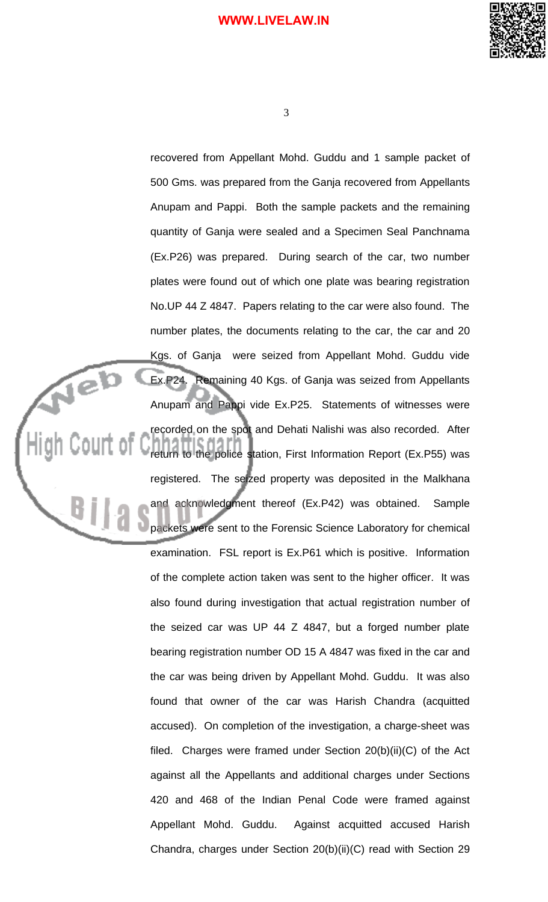

3

recovered from Appellant Mohd. Guddu and 1 sample packet of 500 Gms. was prepared from the Ganja recovered from Appellants Anupam and Pappi. Both the sample packets and the remaining quantity of Ganja were sealed and a Specimen Seal Panchnama (Ex.P26) was prepared. During search of the car, two number plates were found out of which one plate was bearing registration No.UP 44 Z 4847. Papers relating to the car were also found. The number plates, the documents relating to the car, the car and 20 Kgs. of Ganja were seized from Appellant Mohd. Guddu vide Ex.P24. Remaining 40 Kgs. of Ganja was seized from Appellants Anupam and Pappi vide Ex.P25. Statements of witnesses were recorded on the spot and Dehati Nalishi was also recorded. After return to the police station, First Information Report (Ex.P55) was registered. The seized property was deposited in the Malkhana and acknowledgment thereof (Ex.P42) was obtained. Sample packets were sent to the Forensic Science Laboratory for chemical examination. FSL report is Ex.P61 which is positive. Information of the complete action taken was sent to the higher officer. It was also found during investigation that actual registration number of the seized car was UP 44 Z 4847, but a forged number plate bearing registration number OD 15 A 4847 was fixed in the car and the car was being driven by Appellant Mohd. Guddu. It was also found that owner of the car was Harish Chandra (acquitted accused). On completion of the investigation, a charge-sheet was filed. Charges were framed under Section  $20(b)(ii)(C)$  of the Act against all the Appellants and additional charges under Sections 420 and 468 of the Indian Penal Code were framed against Appellant Mohd. Guddu. Against acquitted accused Harish Chandra, charges under Section 20(b)(ii)(C) read with Section 29

Neb

Court of

BĮ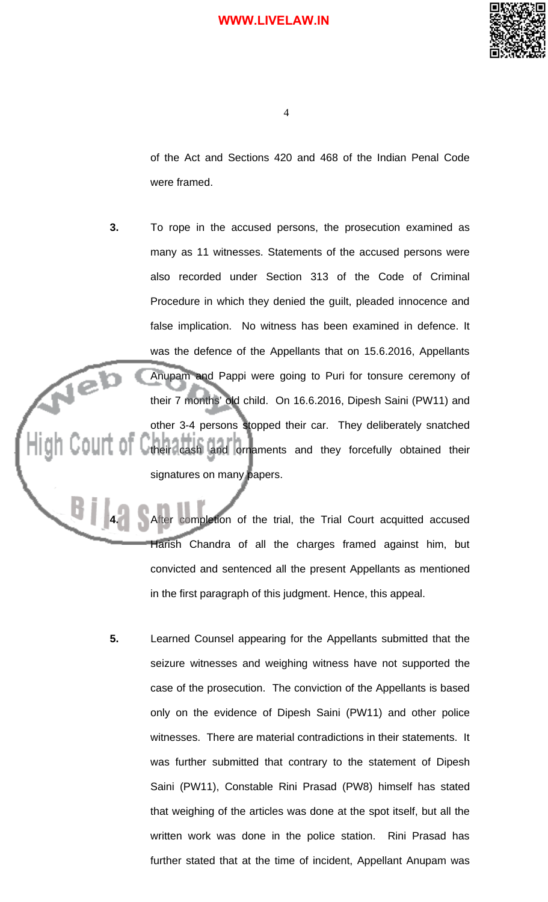

of the Act and Sections 420 and 468 of the Indian Penal Code were framed.

**3.** To rope in the accused persons, the prosecution examined as many as 11 witnesses. Statements of the accused persons were also recorded under Section 313 of the Code of Criminal Procedure in which they denied the guilt, pleaded innocence and false implication. No witness has been examined in defence. It was the defence of the Appellants that on 15.6.2016, Appellants Neb Anupam and Pappi were going to Puri for tonsure ceremony of their 7 months' old child. On 16.6.2016, Dipesh Saini (PW11) and other 3-4 persons stopped their car. They deliberately snatched their cash and ornaments and they forcefully obtained their signatures on many papers.

B j

**4.** After completion of the trial, the Trial Court acquitted accused Harish Chandra of all the charges framed against him, but convicted and sentenced all the present Appellants as mentioned in the first paragraph of this judgment. Hence, this appeal.

**5.** Learned Counsel appearing for the Appellants submitted that the seizure witnesses and weighing witness have not supported the case of the prosecution. The conviction of the Appellants is based only on the evidence of Dipesh Saini (PW11) and other police witnesses. There are material contradictions in their statements. It was further submitted that contrary to the statement of Dipesh Saini (PW11), Constable Rini Prasad (PW8) himself has stated that weighing of the articles was done at the spot itself, but all the written work was done in the police station. Rini Prasad has further stated that at the time of incident, Appellant Anupam was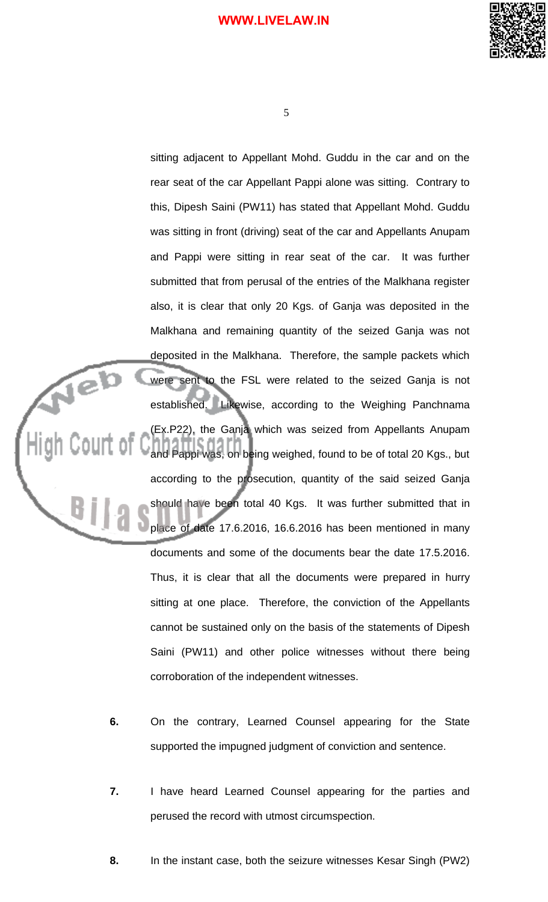

5

sitting adjacent to Appellant Mohd. Guddu in the car and on the rear seat of the car Appellant Pappi alone was sitting. Contrary to this, Dipesh Saini (PW11) has stated that Appellant Mohd. Guddu was sitting in front (driving) seat of the car and Appellants Anupam and Pappi were sitting in rear seat of the car. It was further submitted that from perusal of the entries of the Malkhana register also, it is clear that only 20 Kgs. of Ganja was deposited in the Malkhana and remaining quantity of the seized Ganja was not deposited in the Malkhana. Therefore, the sample packets which Neb were sent to the FSL were related to the seized Ganja is not established. Likewise, according to the Weighing Panchnama (Ex.P22), the Ganja which was seized from Appellants Anupam and Pappi was, on being weighed, found to be of total 20 Kgs., but according to the prosecution, quantity of the said seized Ganja BĮ. should have been total 40 Kgs. It was further submitted that in place of date 17.6.2016, 16.6.2016 has been mentioned in many documents and some of the documents bear the date 17.5.2016. Thus, it is clear that all the documents were prepared in hurry sitting at one place. Therefore, the conviction of the Appellants cannot be sustained only on the basis of the statements of Dipesh Saini (PW11) and other police witnesses without there being corroboration of the independent witnesses.

- **6.** On the contrary, Learned Counsel appearing for the State supported the impugned judgment of conviction and sentence.
- **7.** I have heard Learned Counsel appearing for the parties and perused the record with utmost circumspection.
- **8.** In the instant case, both the seizure witnesses Kesar Singh (PW2)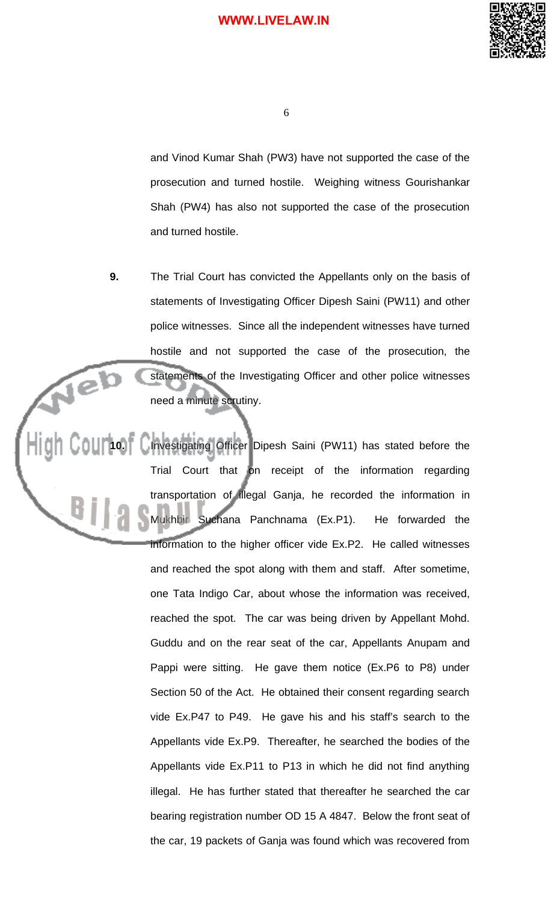

and Vinod Kumar Shah (PW3) have not supported the case of the prosecution and turned hostile. Weighing witness Gourishankar Shah (PW4) has also not supported the case of the prosecution and turned hostile.

**9.** The Trial Court has convicted the Appellants only on the basis of statements of Investigating Officer Dipesh Saini (PW11) and other police witnesses. Since all the independent witnesses have turned hostile and not supported the case of the prosecution, the Neb statements of the Investigating Officer and other police witnesses need a minute scrutiny.

10. Investigating Officer Dipesh Saini (PW11) has stated before the Trial Court that on receipt of the information regarding transportation of illegal Ganja, he recorded the information in Mukhbir Suchana Panchnama (Ex.P1). He forwarded the information to the higher officer vide Ex.P2. He called witnesses and reached the spot along with them and staff. After sometime, one Tata Indigo Car, about whose the information was received, reached the spot. The car was being driven by Appellant Mohd. Guddu and on the rear seat of the car, Appellants Anupam and Pappi were sitting. He gave them notice (Ex.P6 to P8) under Section 50 of the Act. He obtained their consent regarding search vide Ex.P47 to P49. He gave his and his staff's search to the Appellants vide Ex.P9. Thereafter, he searched the bodies of the Appellants vide Ex.P11 to P13 in which he did not find anything illegal. He has further stated that thereafter he searched the car bearing registration number OD 15 A 4847. Below the front seat of the car, 19 packets of Ganja was found which was recovered from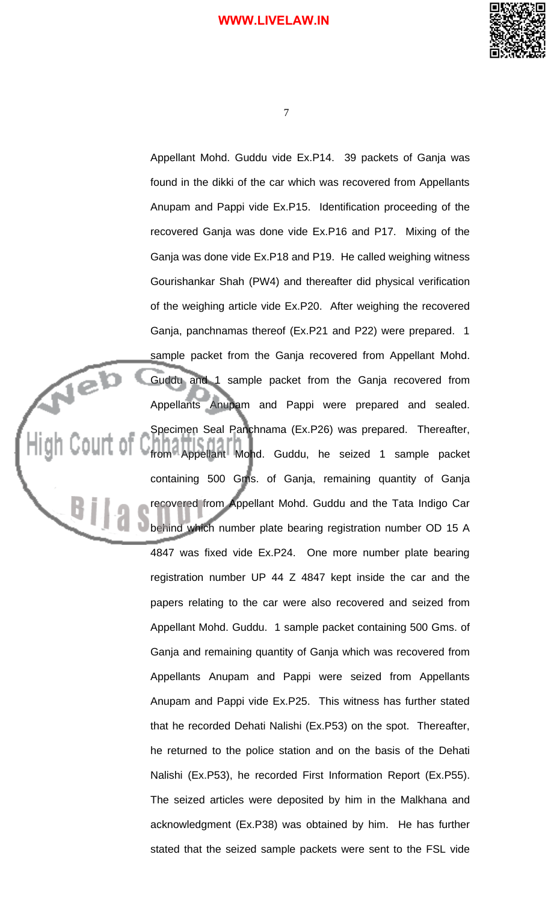

Appellant Mohd. Guddu vide Ex.P14. 39 packets of Ganja was found in the dikki of the car which was recovered from Appellants Anupam and Pappi vide Ex.P15. Identification proceeding of the recovered Ganja was done vide Ex.P16 and P17. Mixing of the Ganja was done vide Ex.P18 and P19. He called weighing witness Gourishankar Shah (PW4) and thereafter did physical verification of the weighing article vide Ex.P20. After weighing the recovered Ganja, panchnamas thereof (Ex.P21 and P22) were prepared. 1 sample packet from the Ganja recovered from Appellant Mohd. Guddu and 1 sample packet from the Ganja recovered from Appellants Anupam and Pappi were prepared and sealed. Specimen Seal Panchnama (Ex.P26) was prepared. Thereafter, Court of from Appellant Mohd. Guddu, he seized 1 sample packet containing 500 Gms. of Ganja, remaining quantity of Ganja recovered from Appellant Mohd. Guddu and the Tata Indigo Car behind which number plate bearing registration number OD 15 A 4847 was fixed vide Ex.P24. One more number plate bearing registration number UP 44 Z 4847 kept inside the car and the papers relating to the car were also recovered and seized from Appellant Mohd. Guddu. 1 sample packet containing 500 Gms. of Ganja and remaining quantity of Ganja which was recovered from Appellants Anupam and Pappi were seized from Appellants Anupam and Pappi vide Ex.P25. This witness has further stated that he recorded Dehati Nalishi (Ex.P53) on the spot. Thereafter, he returned to the police station and on the basis of the Dehati Nalishi (Ex.P53), he recorded First Information Report (Ex.P55). The seized articles were deposited by him in the Malkhana and acknowledgment (Ex.P38) was obtained by him. He has further stated that the seized sample packets were sent to the FSL vide

Neb

 $B||$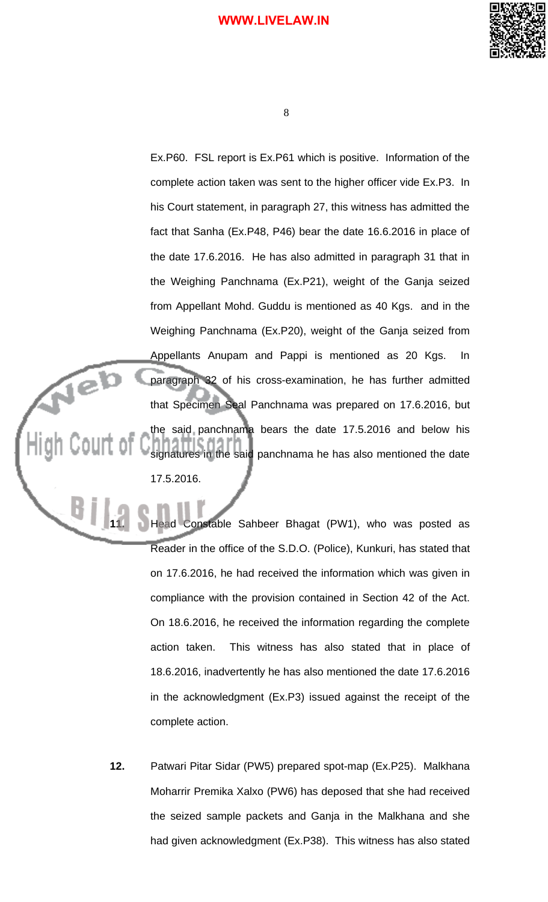

8

Ex.P60. FSL report is Ex.P61 which is positive. Information of the complete action taken was sent to the higher officer vide Ex.P3. In his Court statement, in paragraph 27, this witness has admitted the fact that Sanha (Ex.P48, P46) bear the date 16.6.2016 in place of the date 17.6.2016. He has also admitted in paragraph 31 that in the Weighing Panchnama (Ex.P21), weight of the Ganja seized from Appellant Mohd. Guddu is mentioned as 40 Kgs. and in the Weighing Panchnama (Ex.P20), weight of the Ganja seized from Appellants Anupam and Pappi is mentioned as 20 Kgs. In Neb paragraph 32 of his cross-examination, he has further admitted that Specimen Seal Panchnama was prepared on 17.6.2016, but the said panchnama bears the date 17.5.2016 and below his signatures in the said panchnama he has also mentioned the date 17.5.2016.

> **11.** Head Constable Sahbeer Bhagat (PW1), who was posted as Reader in the office of the S.D.O. (Police), Kunkuri, has stated that on 17.6.2016, he had received the information which was given in compliance with the provision contained in Section 42 of the Act. On 18.6.2016, he received the information regarding the complete action taken. This witness has also stated that in place of 18.6.2016, inadvertently he has also mentioned the date 17.6.2016 in the acknowledgment (Ex.P3) issued against the receipt of the complete action.

Bj

**12.** Patwari Pitar Sidar (PW5) prepared spot-map (Ex.P25). Malkhana Moharrir Premika Xalxo (PW6) has deposed that she had received the seized sample packets and Ganja in the Malkhana and she had given acknowledgment (Ex.P38). This witness has also stated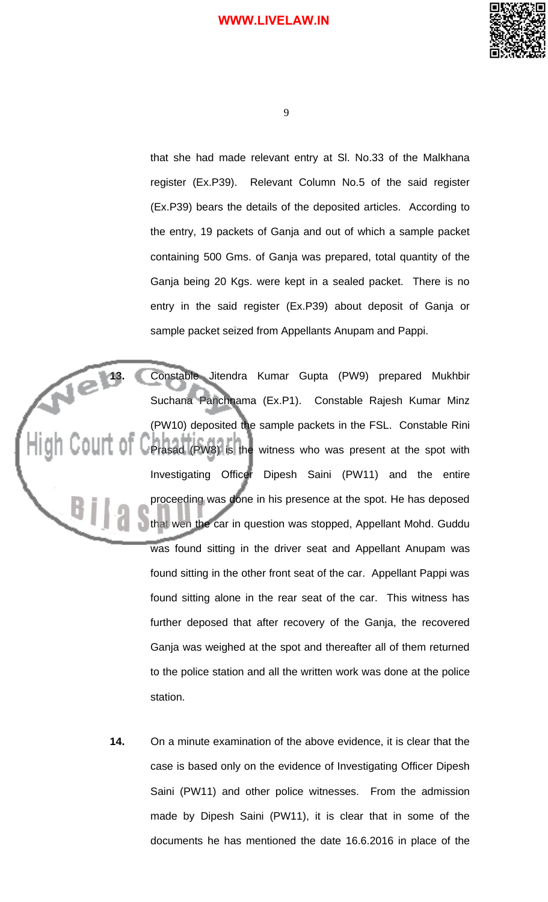

that she had made relevant entry at Sl. No.33 of the Malkhana register (Ex.P39). Relevant Column No.5 of the said register (Ex.P39) bears the details of the deposited articles. According to the entry, 19 packets of Ganja and out of which a sample packet containing 500 Gms. of Ganja was prepared, total quantity of the Ganja being 20 Kgs. were kept in a sealed packet. There is no entry in the said register (Ex.P39) about deposit of Ganja or sample packet seized from Appellants Anupam and Pappi.

13. Constable Jitendra Kumar Gupta (PW9) prepared Mukhbir Suchana Panchnama (Ex.P1). Constable Rajesh Kumar Minz (PW10) deposited the sample packets in the FSL. Constable Rini Prasad (PW8) is the witness who was present at the spot with Investigating Officer Dipesh Saini (PW11) and the entire proceeding was done in his presence at the spot. He has deposed that wen the car in question was stopped, Appellant Mohd. Guddu was found sitting in the driver seat and Appellant Anupam was found sitting in the other front seat of the car. Appellant Pappi was found sitting alone in the rear seat of the car. This witness has further deposed that after recovery of the Ganja, the recovered Ganja was weighed at the spot and thereafter all of them returned to the police station and all the written work was done at the police station.

> **14.** On a minute examination of the above evidence, it is clear that the case is based only on the evidence of Investigating Officer Dipesh Saini (PW11) and other police witnesses. From the admission made by Dipesh Saini (PW11), it is clear that in some of the documents he has mentioned the date 16.6.2016 in place of the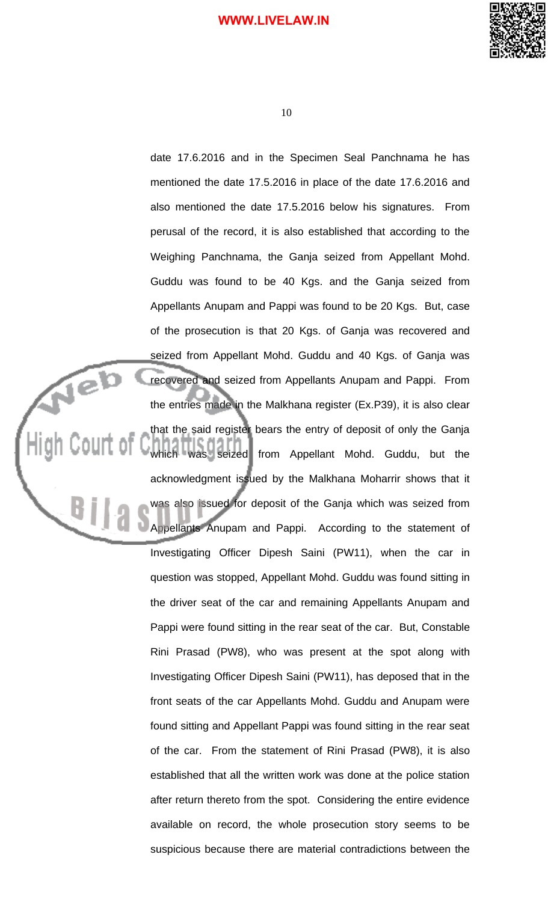

10

date 17.6.2016 and in the Specimen Seal Panchnama he has mentioned the date 17.5.2016 in place of the date 17.6.2016 and also mentioned the date 17.5.2016 below his signatures. From perusal of the record, it is also established that according to the Weighing Panchnama, the Ganja seized from Appellant Mohd. Guddu was found to be 40 Kgs. and the Ganja seized from Appellants Anupam and Pappi was found to be 20 Kgs. But, case of the prosecution is that 20 Kgs. of Ganja was recovered and seized from Appellant Mohd. Guddu and 40 Kgs. of Ganja was recovered and seized from Appellants Anupam and Pappi. From the entries made in the Malkhana register (Ex.P39), it is also clear that the said register bears the entry of deposit of only the Ganja which was seized from Appellant Mohd. Guddu, but the acknowledgment issued by the Malkhana Moharrir shows that it was also issued for deposit of the Ganja which was seized from Appellants Anupam and Pappi. According to the statement of Investigating Officer Dipesh Saini (PW11), when the car in question was stopped, Appellant Mohd. Guddu was found sitting in the driver seat of the car and remaining Appellants Anupam and Pappi were found sitting in the rear seat of the car. But, Constable Rini Prasad (PW8), who was present at the spot along with Investigating Officer Dipesh Saini (PW11), has deposed that in the front seats of the car Appellants Mohd. Guddu and Anupam were found sitting and Appellant Pappi was found sitting in the rear seat of the car. From the statement of Rini Prasad (PW8), it is also established that all the written work was done at the police station after return thereto from the spot. Considering the entire evidence available on record, the whole prosecution story seems to be suspicious because there are material contradictions between the

Neb

 $B_{\parallel}$ 

Court of